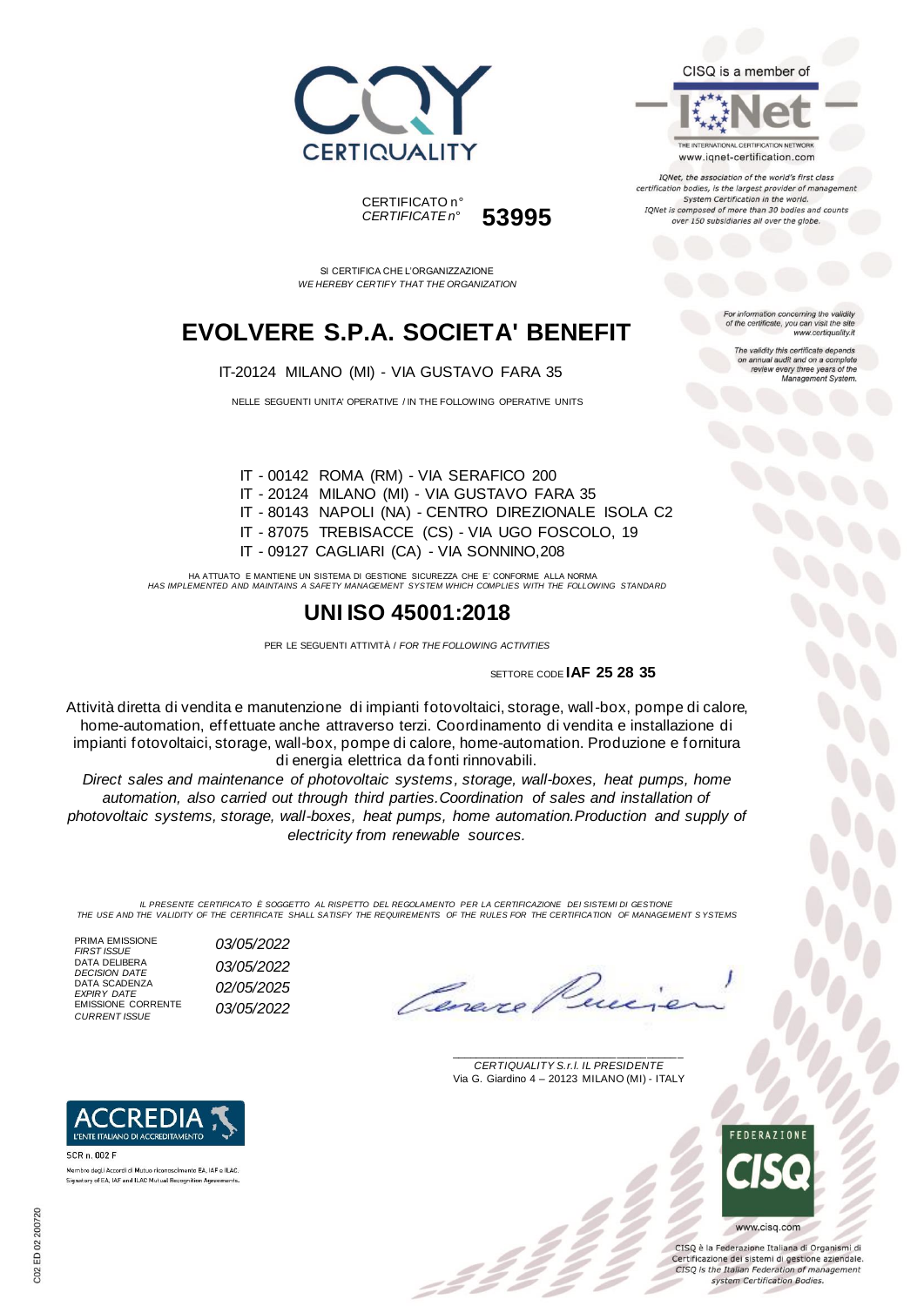

CISQ is a member of



TONet, the association of the world's first class certification bodies, is the largest provider of managen System Certification in the world. IQNet is composed of more than 30 bodies and counts over 150 subsidiaries all over the globe.

SI CERTIFICA CHE L'ORGANIZZAZIONE *WE HEREBY CERTIFY THAT THE ORGANIZATION*

CERTIFICATO n°

*CERTIFICATE n°* **53995**

## **EVOLVERE S.P.A. SOCIETA' BENEFIT**

IT-20124 MILANO (MI) - VIA GUSTAVO FARA 35

NELLE SEGUENTI UNITA' OPERATIVE / IN THE FOLLOWING OPERATIVE UNITS

ion concerning the validity of the certificate, you can visit the sit www.certiquality.it

The validity this certificate depends on annual audit and on a complete<br>review every three years of the<br>Management System.

IT - 00142 ROMA (RM) - VIA SERAFICO 200 IT - 20124 MILANO (MI) - VIA GUSTAVO FARA 35 IT - 80143 NAPOLI (NA) - CENTRO DIREZIONALE ISOLA C2 IT - 87075 TREBISACCE (CS) - VIA UGO FOSCOLO, 19 IT - 09127 CAGLIARI (CA) - VIA SONNINO,208

HA ATTUATO E MANTIENE UN SISTEMA DI GESTIONE SICUREZZA CHE E' CONFORME ALLA NORMA *HAS IMPLEMENTED AND MAINTAINS A SAFETY MANAGEMENT SYSTEM WHICH COMPLIES WITH THE FOLLOWING STANDARD*

### **UNI ISO 45001:2018**

PER LE SEGUENTI ATTIVITÀ / *FOR THE FOLLOWING ACTIVITIES*

SETTORE CODE **IAF 25 28 35**

Attività diretta di vendita e manutenzione di impianti fotovoltaici, storage, wall-box, pompe di calore, home-automation, effettuate anche attraverso terzi. Coordinamento di vendita e installazione di impianti fotovoltaici, storage, wall-box, pompe di calore, home-automation. Produzione e fornitura di energia elettrica da fonti rinnovabili.

*Direct sales and maintenance of photovoltaic systems, storage, wall-boxes, heat pumps, home automation, also carried out through third parties.Coordination of sales and installation of photovoltaic systems, storage, wall-boxes, heat pumps, home automation.Production and supply of electricity from renewable sources.*

*IL PRESENTE CERTIFICATO È SOGGETTO AL RISPETTO DEL REGOLAMENTO PER LA CERTIFICAZIONE DEI SISTEMI DI GESTIONE THE USE AND THE VALIDITY OF THE CERTIFICATE SHALL SATISFY THE REQUIREMENTS OF THE RULES FOR THE CERTIFICATION OF MANAGEMENT S YSTEMS*

PRIMA EMISSIONE<br>FIRST ISSUE DATA DELIBERA<br>DECISION DATE DATA SCADENZA EMISSIONE CORRENTE<br>CURRENT ISSUE

L'ENTE ITALIANO DI ACCREDITAMENTO

Membro degli Accordi di Mutuo riconoscimento EA JAE e ILAC Signatory of EA, IAF and ILAC Mutual Recognition Agreements.

SCR n 002 F

*FIRST ISSUE 03/05/2022 DECISION DATE 03/05/2022 EXPIRY DATE 02/05/2025 CURRENT ISSUE 03/05/2022*

\_\_\_\_\_\_\_\_\_\_\_\_\_\_\_\_\_\_\_\_\_\_\_\_\_\_\_\_\_\_\_\_\_\_\_\_\_\_\_ *CERTIQUALITY S.r.l. IL PRESIDENTE* Via G. Giardino 4 – 20123 MILANO (MI) - ITALY



CISO è la Federazione Italiana di Organismi di Certificazione dei sistemi di gestione aziendale. CISQ is the Italian Federation of management system Certification Bodies.